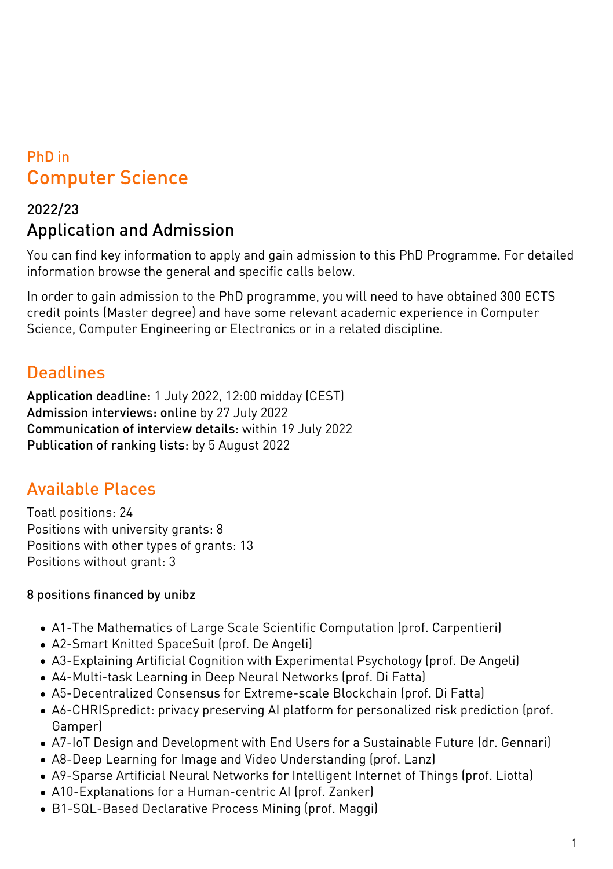# PhD in Computer Science

## 2022/23 Application and Admission

You can find key information to apply and gain admission to this PhD Programme. For detailed information browse the general and specific calls below.

In order to gain admission to the PhD programme, you will need to have obtained 300 ECTS credit points (Master degree) and have some relevant academic experience in Computer Science, Computer Engineering or Electronics or in a related discipline.

### **Deadlines**

Application deadline: 1 July 2022, 12:00 midday (CEST) Admission interviews: online by 27 July 2022 Communication of interview details: within 19 July 2022 Publication of ranking lists: by 5 August 2022

## Available Places

Toatl positions: 24 Positions with university grants: 8 Positions with other types of grants: 13 Positions without grant: 3

### 8 positions financed by unibz

- A1-The Mathematics of Large Scale Scientific Computation (prof. Carpentieri)
- A2-Smart Knitted SpaceSuit (prof. De Angeli)
- A3-Explaining Artificial Cognition with Experimental Psychology (prof. De Angeli)
- A4-Multi-task Learning in Deep Neural Networks (prof. Di Fatta)
- A5-Decentralized Consensus for Extreme-scale Blockchain (prof. Di Fatta)
- A6-CHRISpredict: privacy preserving AI platform for personalized risk prediction (prof. Gamper)
- A7-IoT Design and Development with End Users for a Sustainable Future (dr. Gennari)
- A8-Deep Learning for Image and Video Understanding (prof. Lanz)
- A9-Sparse Artificial Neural Networks for Intelligent Internet of Things (prof. Liotta)
- A10-Explanations for a Human-centric AI (prof. Zanker)
- B1-SQL-Based Declarative Process Mining (prof. Maggi)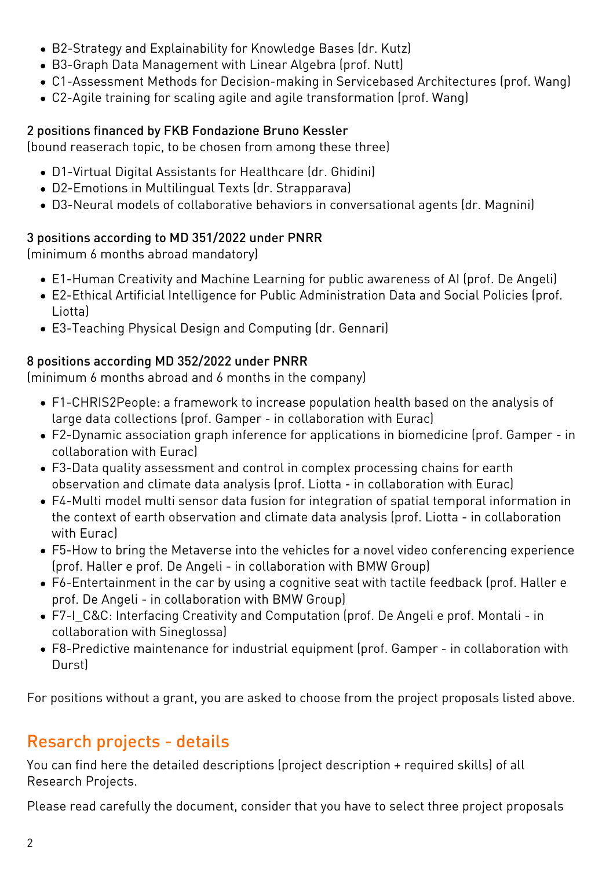- B2-Strategy and Explainability for Knowledge Bases (dr. Kutz)
- B3-Graph Data Management with Linear Algebra (prof. Nutt)
- C1-Assessment Methods for Decision-making in Servicebased Architectures (prof. Wang)
- C2-Agile training for scaling agile and agile transformation (prof. Wang)

#### 2 positions financed by FKB Fondazione Bruno Kessler

(bound reaserach topic, to be chosen from among these three)

- D1-Virtual Digital Assistants for Healthcare (dr. Ghidini)
- D2-Emotions in Multilingual Texts (dr. Strapparava)
- D3-Neural models of collaborative behaviors in conversational agents (dr. Magnini)

#### 3 positions according to MD 351/2022 under PNRR

(minimum 6 months abroad mandatory)

- E1-Human Creativity and Machine Learning for public awareness of AI (prof. De Angeli)
- E2-Ethical Artificial Intelligence for Public Administration Data and Social Policies (prof. Liotta)
- E3-Teaching Physical Design and Computing (dr. Gennari)

#### 8 positions according MD 352/2022 under PNRR

(minimum 6 months abroad and 6 months in the company)

- F1-CHRIS2People: a framework to increase population health based on the analysis of large data collections (prof. Gamper - in collaboration with Eurac)
- F2-Dynamic association graph inference for applications in biomedicine (prof. Gamper in collaboration with Eurac)
- F3-Data quality assessment and control in complex processing chains for earth observation and climate data analysis (prof. Liotta - in collaboration with Eurac)
- F4-Multi model multi sensor data fusion for integration of spatial temporal information in the context of earth observation and climate data analysis (prof. Liotta - in collaboration with Eurac)
- F5-How to bring the Metaverse into the vehicles for a novel video conferencing experience (prof. Haller e prof. De Angeli - in collaboration with BMW Group)
- F6-Entertainment in the car by using a cognitive seat with tactile feedback (prof. Haller e prof. De Angeli - in collaboration with BMW Group)
- F7-I C&C: Interfacing Creativity and Computation (prof. De Angeli e prof. Montali in collaboration with Sineglossa)
- F8-Predictive maintenance for industrial equipment (prof. Gamper in collaboration with Durst)

For positions without a grant, you are asked to choose from the project proposals listed above.

# Resarch projects - details

[You can find here](https://www.unibz.it/assets/Documents/PhD/PhD-Project-proposals_CS_38cycle.pdf) the detailed descriptions (project description + required skills) of all Research Projects.

Please read carefully the document, consider that you have to select three project proposals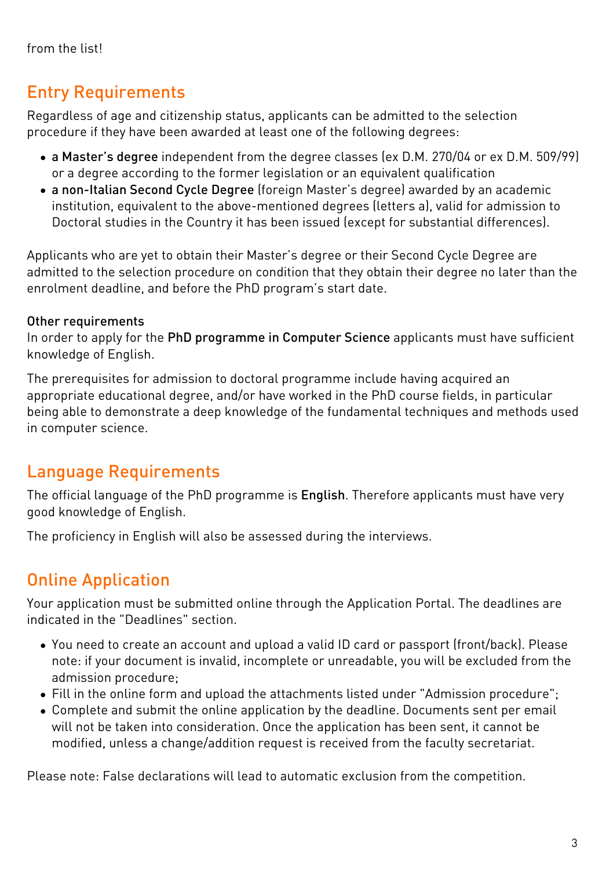# Entry Requirements

Regardless of age and citizenship status, applicants can be admitted to the selection procedure if they have been awarded at least one of the following degrees:

- a Master's degree independent from the degree classes (ex D.M. 270/04 or ex D.M. 509/99) or a degree according to the former legislation or an equivalent qualification
- a non-Italian Second Cycle Degree (foreign Master's degree) awarded by an academic institution, equivalent to the above-mentioned degrees (letters a), valid for admission to Doctoral studies in the Country it has been issued (except for substantial differences).

Applicants who are yet to obtain their Master's degree or their Second Cycle Degree are admitted to the selection procedure on condition that they obtain their degree no later than the enrolment deadline, and before the PhD program's start date.

#### Other requirements

In order to apply for the PhD programme in Computer Science applicants must have sufficient knowledge of English.

The prerequisites for admission to doctoral programme include having acquired an appropriate educational degree, and/or have worked in the PhD course fields, in particular being able to demonstrate a deep knowledge of the fundamental techniques and methods used in computer science.

## Language Requirements

The official language of the PhD programme is English. Therefore applicants must have very good knowledge of English.

The proficiency in English will also be assessed during the interviews.

# Online Application

Your application must be submitted online through the [Application Portal](https://aws.unibz.it/exup). The deadlines are indicated in the "Deadlines" section.

- You need to create an account and upload a valid ID card or passport (front/back). Please note: if your document is invalid, incomplete or unreadable, you will be excluded from the admission procedure;
- Fill in the online form and upload the attachments listed under "Admission procedure";
- Complete and submit the online application by the deadline. Documents sent per email will not be taken into consideration. Once the application has been sent, it cannot be modified, unless a change/addition request is received from the faculty secretariat.

Please note: False declarations will lead to automatic exclusion from the competition.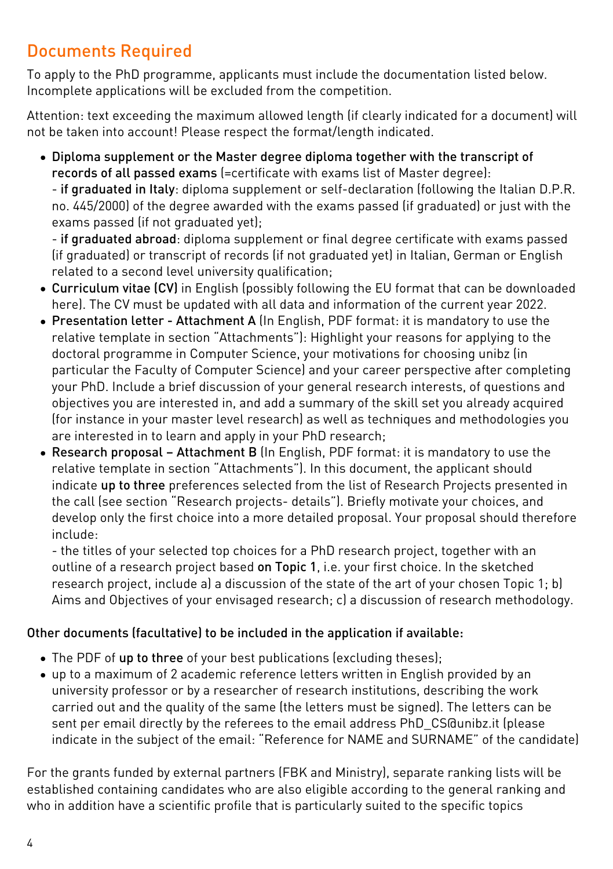## Documents Required

To apply to the PhD programme, applicants must include the documentation listed below. Incomplete applications will be excluded from the competition.

Attention: text exceeding the maximum allowed length (if clearly indicated for a document) will not be taken into account! Please respect the format/length indicated.

Diploma supplement or the Master degree diploma together with the transcript of records of all passed exams (=certificate with exams list of Master degree):

- if graduated in Italy: diploma supplement or self-declaration (following the Italian D.P.R. no. 445/2000) of the degree awarded with the exams passed (if graduated) or just with the exams passed (if not graduated yet);

- if graduated abroad: diploma supplement or final degree certificate with exams passed (if graduated) or transcript of records (if not graduated yet) in Italian, German or English related to a second level university qualification;

- Curriculum vitae (CV) in English (possibly following the EU format that can be downloaded [here\)](https://europass.cedefop.europa.eu/en/documents/curriculum-vitae). The CV must be updated with all data and information of the current year 2022.
- Presentation letter Attachment A (In English, PDF format: it is mandatory to use the relative template in section "Attachments"): Highlight your reasons for applying to the doctoral programme in Computer Science, your motivations for choosing unibz (in particular the Faculty of Computer Science) and your career perspective after completing your PhD. Include a brief discussion of your general research interests, of questions and objectives you are interested in, and add a summary of the skill set you already acquired (for instance in your master level research) as well as techniques and methodologies you are interested in to learn and apply in your PhD research;
- Research proposal Attachment B (In English, PDF format: it is mandatory to use the relative template in section "Attachments"). In this document, the applicant should indicate up to three preferences selected from the list of Research Projects presented in the call (see section "Research projects- details"). Briefly motivate your choices, and develop only the first choice into a more detailed proposal. Your proposal should therefore include:

- the titles of your selected top choices for a PhD research project, together with an outline of a research project based on Topic 1, i.e. your first choice. In the sketched research project, include a) a discussion of the state of the art of your chosen Topic 1; b) Aims and Objectives of your envisaged research; c) a discussion of research methodology.

#### Other documents (facultative) to be included in the application if available:

- The PDF of up to three of your best publications (excluding theses);
- up to a maximum of 2 academic reference letters written in English provided by an university professor or by a researcher of research institutions, describing the work carried out and the quality of the same (the letters must be signed). The letters can be sent per email directly by the referees to the email address [PhD\\_CS@unibz.it](mailto:PhD_CS@unibz.it) (please indicate in the subject of the email: "Reference for NAME and SURNAME" of the candidate)

For the grants funded by external partners (FBK and Ministry), separate ranking lists will be established containing candidates who are also eligible according to the general ranking and who in addition have a scientific profile that is particularly suited to the specific topics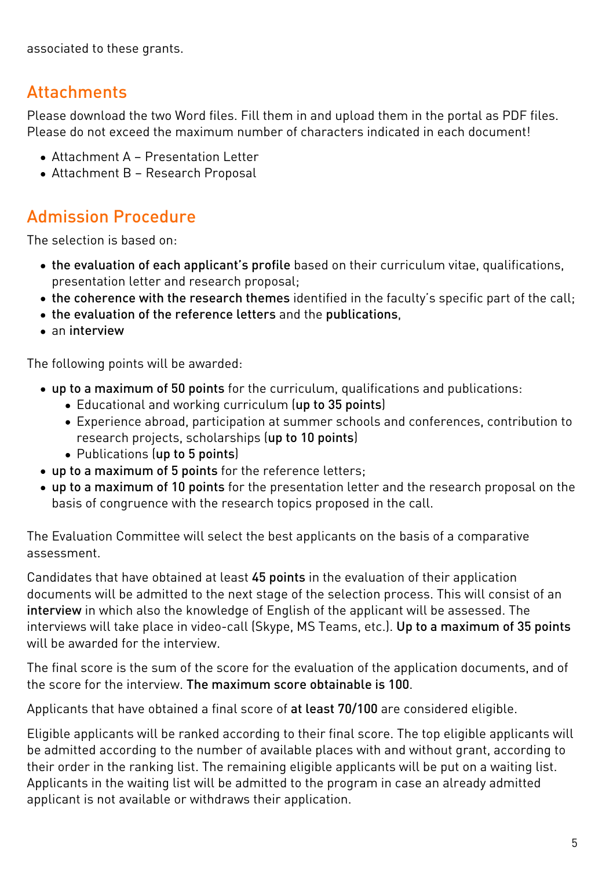associated to these grants.

### Attachments

Please download the two Word files. Fill them in and upload them in the portal as PDF files. Please do not exceed the maximum number of characters indicated in each document!

- [Attachment A Presentation Letter](https://www.unibz.it/assets/Documents/PhD/ATTACHMENT-A_Presentation-letter_CS-UNIBZ.docx)
- [Attachment B Research Proposal](https://www.unibz.it/assets/Documents/PhD/ATTACHMENT-B_Research_proposal_CS-UNIBZ.docx)

### Admission Procedure

The selection is based on:

- the evaluation of each applicant's profile based on their curriculum vitae, qualifications, presentation letter and research proposal;
- the coherence with the research themes identified in the faculty's specific part of the call;
- the evaluation of the reference letters and the publications,
- an interview

The following points will be awarded:

- up to a maximum of 50 points for the curriculum, qualifications and publications:
	- Educational and working curriculum (up to 35 points)
	- Experience abroad, participation at summer schools and conferences, contribution to research projects, scholarships (up to 10 points)
	- Publications (up to 5 points)
- up to a maximum of 5 points for the reference letters;
- up to a maximum of 10 points for the presentation letter and the research proposal on the basis of congruence with the research topics proposed in the call.

The Evaluation Committee will select the best applicants on the basis of a comparative assessment.

Candidates that have obtained at least 45 points in the evaluation of their application documents will be admitted to the next stage of the selection process. This will consist of an interview in which also the knowledge of English of the applicant will be assessed. The interviews will take place in video-call (Skype, MS Teams, etc.). Up to a maximum of 35 points will be awarded for the interview.

The final score is the sum of the score for the evaluation of the application documents, and of the score for the interview. The maximum score obtainable is 100.

Applicants that have obtained a final score of at least 70/100 are considered eligible.

Eligible applicants will be ranked according to their final score. The top eligible applicants will be admitted according to the number of available places with and without grant, according to their order in the ranking list. The remaining eligible applicants will be put on a waiting list. Applicants in the waiting list will be admitted to the program in case an already admitted applicant is not available or withdraws their application.